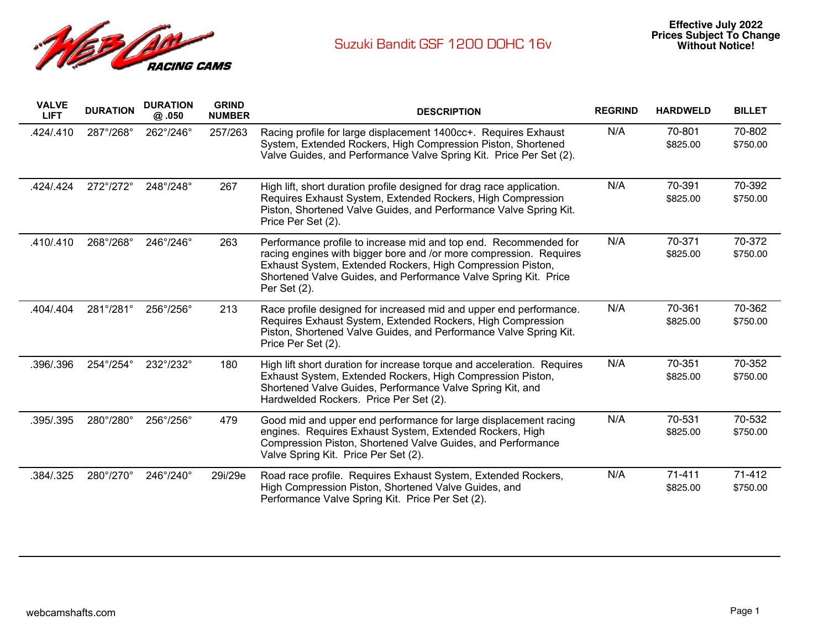

| <b>VALVE</b><br><b>LIFT</b> | <b>DURATION</b> | <b>DURATION</b><br>@.050 | <b>GRIND</b><br><b>NUMBER</b> | <b>DESCRIPTION</b>                                                                                                                                                                                                                                                                      | <b>REGRIND</b> | <b>HARDWELD</b>        | <b>BILLET</b>      |
|-----------------------------|-----------------|--------------------------|-------------------------------|-----------------------------------------------------------------------------------------------------------------------------------------------------------------------------------------------------------------------------------------------------------------------------------------|----------------|------------------------|--------------------|
| 424/.410                    | 287°/268°       | 262°/246°                | 257/263                       | Racing profile for large displacement 1400cc+. Requires Exhaust<br>System, Extended Rockers, High Compression Piston, Shortened<br>Valve Guides, and Performance Valve Spring Kit. Price Per Set (2).                                                                                   | N/A            | 70-801<br>\$825.00     | 70-802<br>\$750.00 |
| .424/.424                   | 272°/272°       | 248°/248°                | 267                           | High lift, short duration profile designed for drag race application.<br>Requires Exhaust System, Extended Rockers, High Compression<br>Piston, Shortened Valve Guides, and Performance Valve Spring Kit.<br>Price Per Set (2).                                                         | N/A            | 70-391<br>\$825.00     | 70-392<br>\$750.00 |
| .410/.410                   | 268°/268°       | 246°/246°                | 263                           | Performance profile to increase mid and top end. Recommended for<br>racing engines with bigger bore and /or more compression. Requires<br>Exhaust System, Extended Rockers, High Compression Piston,<br>Shortened Valve Guides, and Performance Valve Spring Kit. Price<br>Per Set (2). | N/A            | 70-371<br>\$825.00     | 70-372<br>\$750.00 |
| .404/.404                   | 281°/281°       | 256°/256°                | 213                           | Race profile designed for increased mid and upper end performance.<br>Requires Exhaust System, Extended Rockers, High Compression<br>Piston, Shortened Valve Guides, and Performance Valve Spring Kit.<br>Price Per Set (2).                                                            | N/A            | 70-361<br>\$825.00     | 70-362<br>\$750.00 |
| .396/.396                   | 254°/254°       | 232°/232°                | 180                           | High lift short duration for increase torque and acceleration. Requires<br>Exhaust System, Extended Rockers, High Compression Piston,<br>Shortened Valve Guides, Performance Valve Spring Kit, and<br>Hardwelded Rockers. Price Per Set (2).                                            | N/A            | 70-351<br>\$825.00     | 70-352<br>\$750.00 |
| .395/.395                   | 280°/280°       | 256°/256°                | 479                           | Good mid and upper end performance for large displacement racing<br>engines. Requires Exhaust System, Extended Rockers, High<br>Compression Piston, Shortened Valve Guides, and Performance<br>Valve Spring Kit. Price Per Set (2).                                                     | N/A            | 70-531<br>\$825.00     | 70-532<br>\$750.00 |
| .384/.325                   | 280°/270°       | 246°/240°                | 29i/29e                       | Road race profile. Requires Exhaust System, Extended Rockers,<br>High Compression Piston, Shortened Valve Guides, and<br>Performance Valve Spring Kit. Price Per Set (2).                                                                                                               | N/A            | $71 - 411$<br>\$825.00 | 71-412<br>\$750.00 |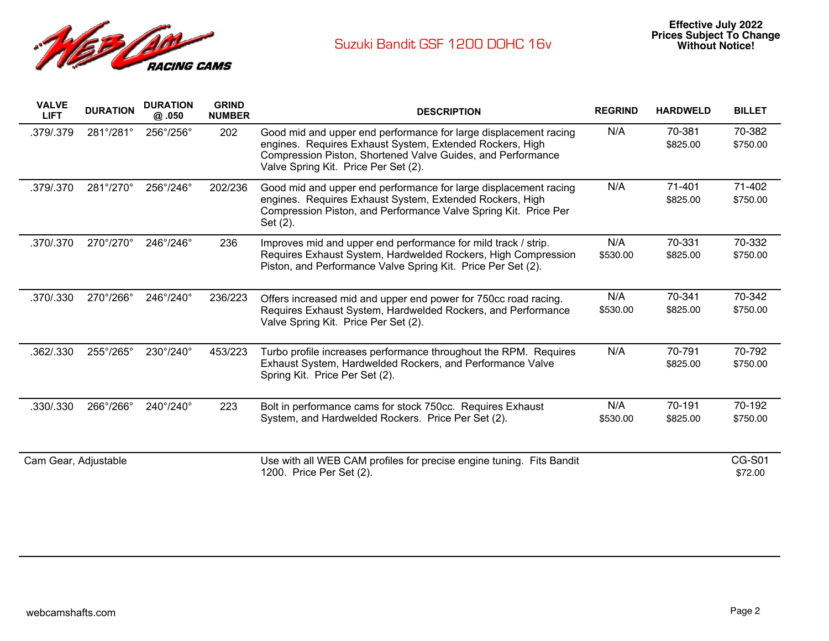

| <b>VALVE</b><br><b>LIFT</b> | <b>DURATION</b>           | <b>DURATION</b><br>@ .050 | <b>GRIND</b><br><b>NUMBER</b> | <b>DESCRIPTION</b>                                                                                                                                                                                                                  | <b>REGRIND</b>  | <b>HARDWELD</b>    | <b>BILLET</b>            |
|-----------------------------|---------------------------|---------------------------|-------------------------------|-------------------------------------------------------------------------------------------------------------------------------------------------------------------------------------------------------------------------------------|-----------------|--------------------|--------------------------|
| .379/.379                   | 281°/281°                 | 256°/256°                 | 202                           | Good mid and upper end performance for large displacement racing<br>engines. Requires Exhaust System, Extended Rockers, High<br>Compression Piston, Shortened Valve Guides, and Performance<br>Valve Spring Kit. Price Per Set (2). | N/A             | 70-381<br>\$825.00 | 70-382<br>\$750.00       |
| .379/.370                   | 281°/270°                 | 256°/246°                 | 202/236                       | Good mid and upper end performance for large displacement racing<br>engines. Requires Exhaust System, Extended Rockers, High<br>Compression Piston, and Performance Valve Spring Kit. Price Per<br>Set (2).                         | N/A             | 71-401<br>\$825.00 | 71-402<br>\$750.00       |
| .370/.370                   | $270^{\circ}/270^{\circ}$ | 246°/246°                 | 236                           | Improves mid and upper end performance for mild track / strip.<br>Requires Exhaust System, Hardwelded Rockers, High Compression<br>Piston, and Performance Valve Spring Kit. Price Per Set (2).                                     | N/A<br>\$530.00 | 70-331<br>\$825.00 | 70-332<br>\$750.00       |
| .370/.330                   | 270°/266°                 | 246°/240°                 | 236/223                       | Offers increased mid and upper end power for 750cc road racing.<br>Requires Exhaust System, Hardwelded Rockers, and Performance<br>Valve Spring Kit. Price Per Set (2).                                                             | N/A<br>\$530.00 | 70-341<br>\$825.00 | 70-342<br>\$750.00       |
| .362/.330                   | 255°/265°                 | 230°/240°                 | 453/223                       | Turbo profile increases performance throughout the RPM. Requires<br>Exhaust System, Hardwelded Rockers, and Performance Valve<br>Spring Kit. Price Per Set (2).                                                                     | N/A             | 70-791<br>\$825.00 | 70-792<br>\$750.00       |
| .330/.330                   | 266°/266°                 | 240°/240°                 | 223                           | Bolt in performance cams for stock 750cc. Requires Exhaust<br>System, and Hardwelded Rockers. Price Per Set (2).                                                                                                                    | N/A<br>\$530.00 | 70-191<br>\$825.00 | 70-192<br>\$750.00       |
| Cam Gear, Adjustable        |                           |                           |                               | Use with all WEB CAM profiles for precise engine tuning. Fits Bandit<br>1200. Price Per Set (2).                                                                                                                                    |                 |                    | <b>CG-S01</b><br>\$72.00 |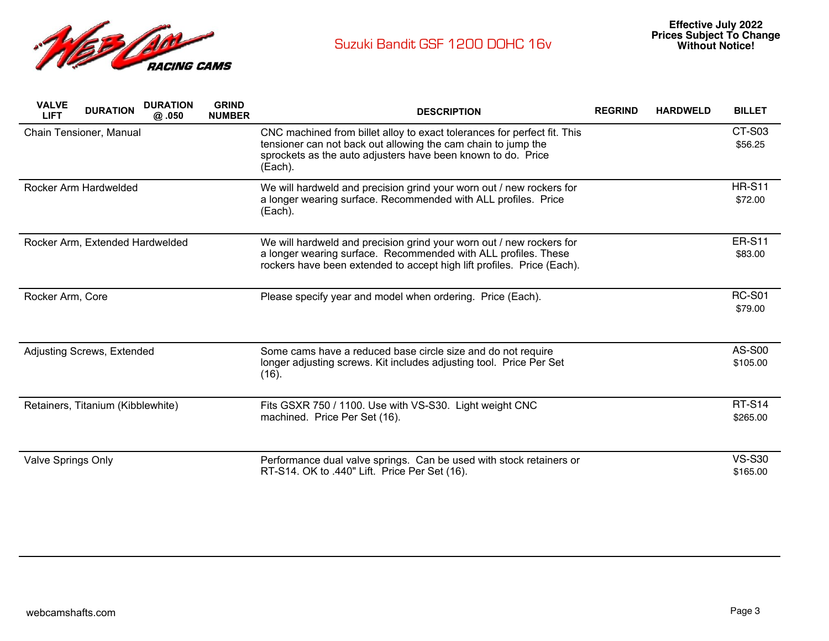

| <b>VALVE</b><br><b>LIFT</b> | <b>DURATION</b>                   | <b>DURATION</b><br>@ .050 | <b>GRIND</b><br><b>NUMBER</b> | <b>DESCRIPTION</b>                                                                                                                                                                                                   | <b>REGRIND</b> | <b>HARDWELD</b> | <b>BILLET</b>             |
|-----------------------------|-----------------------------------|---------------------------|-------------------------------|----------------------------------------------------------------------------------------------------------------------------------------------------------------------------------------------------------------------|----------------|-----------------|---------------------------|
|                             | Chain Tensioner, Manual           |                           |                               | CNC machined from billet alloy to exact tolerances for perfect fit. This<br>tensioner can not back out allowing the cam chain to jump the<br>sprockets as the auto adjusters have been known to do. Price<br>(Each). |                |                 | CT-S03<br>\$56.25         |
|                             | Rocker Arm Hardwelded             |                           |                               | We will hardweld and precision grind your worn out / new rockers for<br>a longer wearing surface. Recommended with ALL profiles. Price<br>(Each).                                                                    |                |                 | <b>HR-S11</b><br>\$72.00  |
|                             | Rocker Arm, Extended Hardwelded   |                           |                               | We will hardweld and precision grind your worn out / new rockers for<br>a longer wearing surface. Recommended with ALL profiles. These<br>rockers have been extended to accept high lift profiles. Price (Each).     |                |                 | <b>ER-S11</b><br>\$83.00  |
| Rocker Arm, Core            |                                   |                           |                               | Please specify year and model when ordering. Price (Each).                                                                                                                                                           |                |                 | <b>RC-S01</b><br>\$79.00  |
|                             | Adjusting Screws, Extended        |                           |                               | Some cams have a reduced base circle size and do not require<br>longer adjusting screws. Kit includes adjusting tool. Price Per Set<br>(16).                                                                         |                |                 | <b>AS-S00</b><br>\$105.00 |
|                             | Retainers, Titanium (Kibblewhite) |                           |                               | Fits GSXR 750 / 1100. Use with VS-S30. Light weight CNC<br>machined. Price Per Set (16).                                                                                                                             |                |                 | <b>RT-S14</b><br>\$265.00 |
| Valve Springs Only          |                                   |                           |                               | Performance dual valve springs. Can be used with stock retainers or<br>RT-S14. OK to .440" Lift. Price Per Set (16).                                                                                                 |                |                 | <b>VS-S30</b><br>\$165.00 |